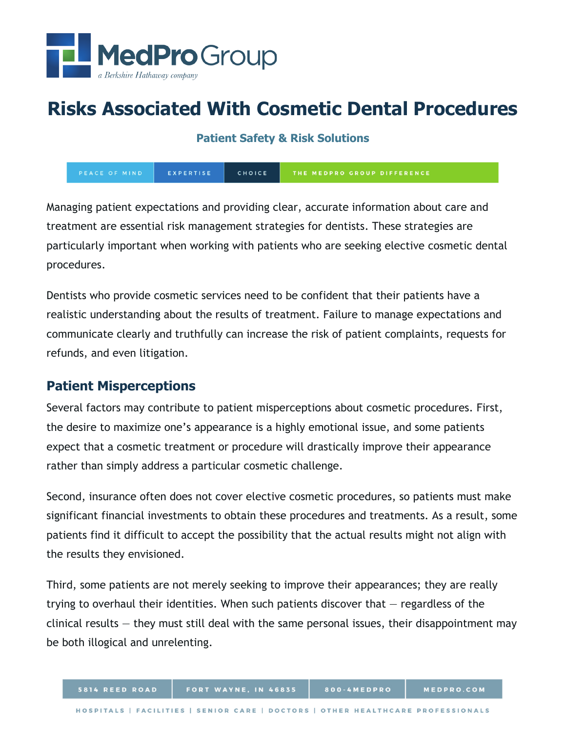

# **Risks Associated With Cosmetic Dental Procedures**

**Patient Safety & Risk Solutions**

PEACE OF MIND EXPERTISE CHOICE THE MEDPRO GROUP DIFFERENCE

Managing patient expectations and providing clear, accurate information about care and treatment are essential risk management strategies for dentists. These strategies are particularly important when working with patients who are seeking elective cosmetic dental procedures.

Dentists who provide cosmetic services need to be confident that their patients have a realistic understanding about the results of treatment. Failure to manage expectations and communicate clearly and truthfully can increase the risk of patient complaints, requests for refunds, and even litigation.

## **Patient Misperceptions**

Several factors may contribute to patient misperceptions about cosmetic procedures. First, the desire to maximize one's appearance is a highly emotional issue, and some patients expect that a cosmetic treatment or procedure will drastically improve their appearance rather than simply address a particular cosmetic challenge.

Second, insurance often does not cover elective cosmetic procedures, so patients must make significant financial investments to obtain these procedures and treatments. As a result, some patients find it difficult to accept the possibility that the actual results might not align with the results they envisioned.

Third, some patients are not merely seeking to improve their appearances; they are really trying to overhaul their identities. When such patients discover that — regardless of the clinical results — they must still deal with the same personal issues, their disappointment may be both illogical and unrelenting.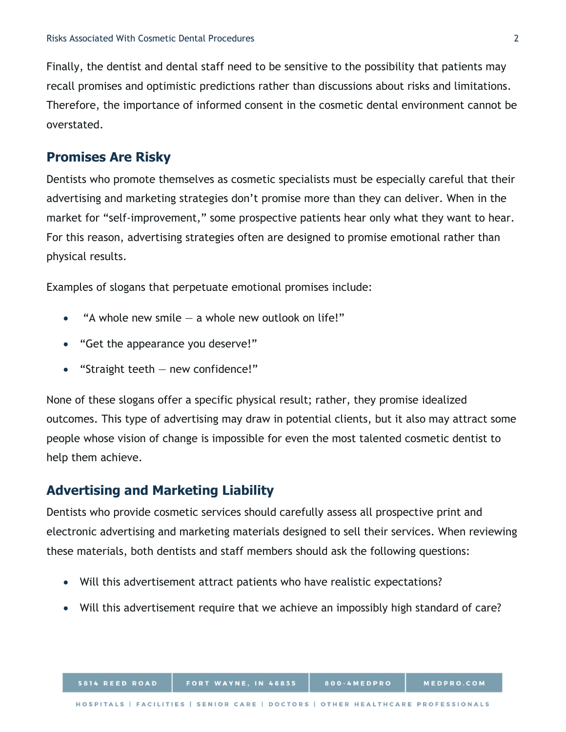Finally, the dentist and dental staff need to be sensitive to the possibility that patients may recall promises and optimistic predictions rather than discussions about risks and limitations. Therefore, the importance of informed consent in the cosmetic dental environment cannot be overstated.

#### **Promises Are Risky**

Dentists who promote themselves as cosmetic specialists must be especially careful that their advertising and marketing strategies don't promise more than they can deliver. When in the market for "self-improvement," some prospective patients hear only what they want to hear. For this reason, advertising strategies often are designed to promise emotional rather than physical results.

Examples of slogans that perpetuate emotional promises include:

- "A whole new smile  $-$  a whole new outlook on life!"
- "Get the appearance you deserve!"
- "Straight teeth  $-$  new confidence!"

None of these slogans offer a specific physical result; rather, they promise idealized outcomes. This type of advertising may draw in potential clients, but it also may attract some people whose vision of change is impossible for even the most talented cosmetic dentist to help them achieve.

#### **Advertising and Marketing Liability**

Dentists who provide cosmetic services should carefully assess all prospective print and electronic advertising and marketing materials designed to sell their services. When reviewing these materials, both dentists and staff members should ask the following questions:

- Will this advertisement attract patients who have realistic expectations?
- Will this advertisement require that we achieve an impossibly high standard of care?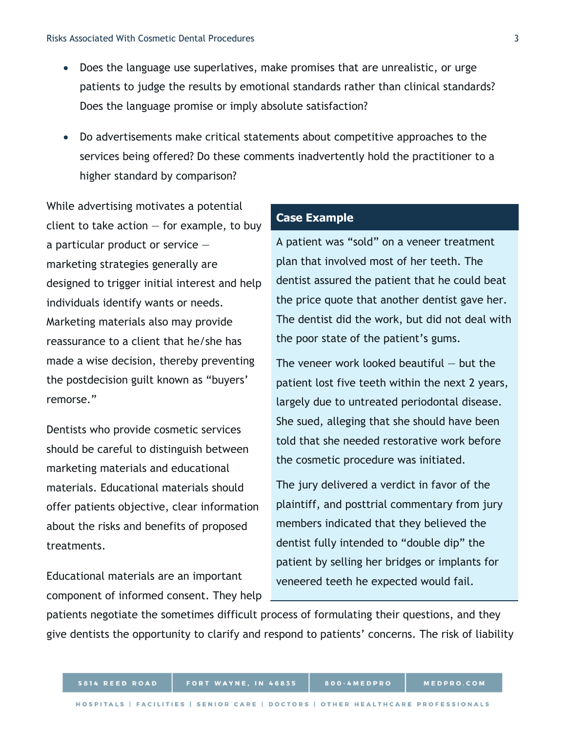- Does the language use superlatives, make promises that are unrealistic, or urge patients to judge the results by emotional standards rather than clinical standards? Does the language promise or imply absolute satisfaction?
- Do advertisements make critical statements about competitive approaches to the services being offered? Do these comments inadvertently hold the practitioner to a higher standard by comparison?

While advertising motivates a potential client to take action  $-$  for example, to buy a particular product or service marketing strategies generally are designed to trigger initial interest and help individuals identify wants or needs. Marketing materials also may provide reassurance to a client that he/she has made a wise decision, thereby preventing the postdecision guilt known as "buyers' remorse."

Dentists who provide cosmetic services should be careful to distinguish between marketing materials and educational materials. Educational materials should offer patients objective, clear information about the risks and benefits of proposed treatments.

Educational materials are an important component of informed consent. They help

#### **Case Example**

A patient was "sold" on a veneer treatment plan that involved most of her teeth. The dentist assured the patient that he could beat the price quote that another dentist gave her. The dentist did the work, but did not deal with the poor state of the patient's gums.

The veneer work looked beautiful  $-$  but the patient lost five teeth within the next 2 years, largely due to untreated periodontal disease. She sued, alleging that she should have been told that she needed restorative work before the cosmetic procedure was initiated.

The jury delivered a verdict in favor of the plaintiff, and posttrial commentary from jury members indicated that they believed the dentist fully intended to "double dip" the patient by selling her bridges or implants for veneered teeth he expected would fail.

patients negotiate the sometimes difficult process of formulating their questions, and they give dentists the opportunity to clarify and respond to patients' concerns. The risk of liability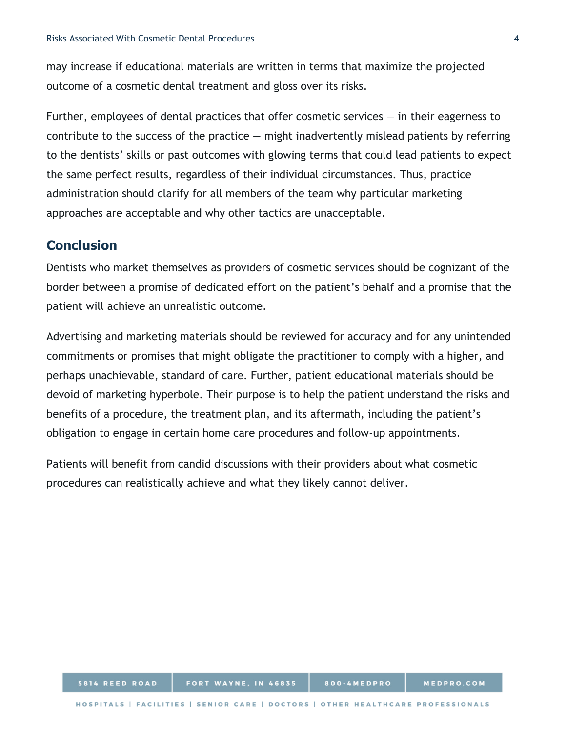may increase if educational materials are written in terms that maximize the projected outcome of a cosmetic dental treatment and gloss over its risks.

Further, employees of dental practices that offer cosmetic services  $-$  in their eagerness to contribute to the success of the practice  $-$  might inadvertently mislead patients by referring to the dentists' skills or past outcomes with glowing terms that could lead patients to expect the same perfect results, regardless of their individual circumstances. Thus, practice administration should clarify for all members of the team why particular marketing approaches are acceptable and why other tactics are unacceptable.

### **Conclusion**

Dentists who market themselves as providers of cosmetic services should be cognizant of the border between a promise of dedicated effort on the patient's behalf and a promise that the patient will achieve an unrealistic outcome.

Advertising and marketing materials should be reviewed for accuracy and for any unintended commitments or promises that might obligate the practitioner to comply with a higher, and perhaps unachievable, standard of care. Further, patient educational materials should be devoid of marketing hyperbole. Their purpose is to help the patient understand the risks and benefits of a procedure, the treatment plan, and its aftermath, including the patient's obligation to engage in certain home care procedures and follow-up appointments.

Patients will benefit from candid discussions with their providers about what cosmetic procedures can realistically achieve and what they likely cannot deliver.